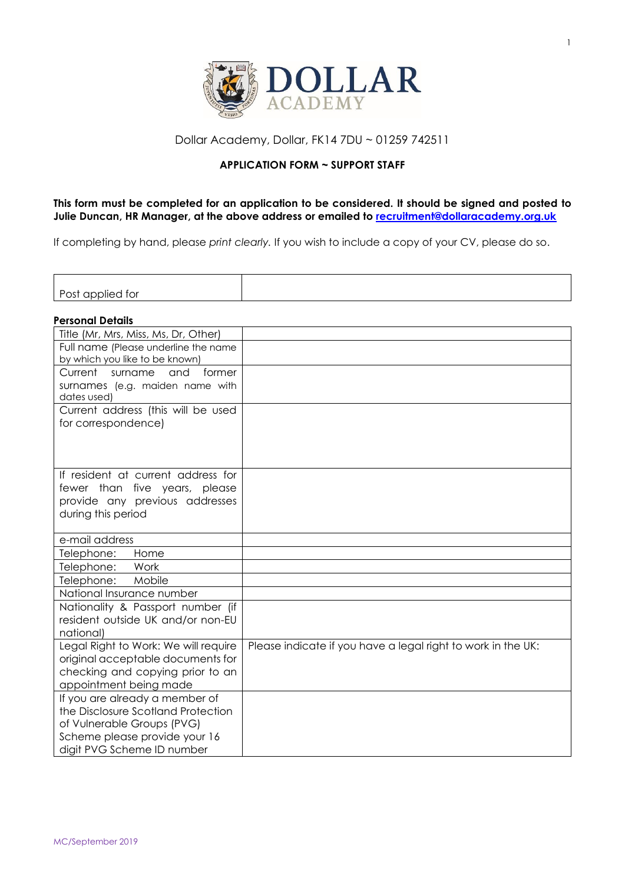

# Dollar Academy, Dollar, FK14 7DU ~ 01259 742511

## **APPLICATION FORM ~ SUPPORT STAFF**

# **This form must be completed for an application to be considered. It should be signed and posted to Julie Duncan, HR Manager, at the above address or emailed to [recruitment@dollaracademy.org.uk](mailto:recruitment@dollaracademy.org.uk)**

If completing by hand, please *print clearly.* If you wish to include a copy of your CV, please do so.

| $\overline{\phantom{a}}$<br>$\sim$<br>tor<br>۱ ) ہے اال<br>אט וכט<br>, , , , , |  |
|--------------------------------------------------------------------------------|--|

#### **Personal Details**

| Title (Mr, Mrs, Miss, Ms, Dr, Other)              |                                                              |
|---------------------------------------------------|--------------------------------------------------------------|
| Full name (Please underline the name              |                                                              |
| by which you like to be known)                    |                                                              |
| Current<br>former<br>surname<br>and               |                                                              |
| surnames (e.g. maiden name with                   |                                                              |
| dates used)<br>Current address (this will be used |                                                              |
| for correspondence)                               |                                                              |
|                                                   |                                                              |
|                                                   |                                                              |
|                                                   |                                                              |
| If resident at current address for                |                                                              |
| fewer than five years, please                     |                                                              |
| provide any previous addresses                    |                                                              |
| during this period                                |                                                              |
|                                                   |                                                              |
| e-mail address                                    |                                                              |
| Telephone:<br>Home                                |                                                              |
| Telephone:<br>Work                                |                                                              |
| Telephone:<br>Mobile                              |                                                              |
| National Insurance number                         |                                                              |
| Nationality & Passport number (if                 |                                                              |
| resident outside UK and/or non-EU                 |                                                              |
| national)<br>Legal Right to Work: We will require | Please indicate if you have a legal right to work in the UK: |
| original acceptable documents for                 |                                                              |
| checking and copying prior to an                  |                                                              |
| appointment being made                            |                                                              |
| If you are already a member of                    |                                                              |
| the Disclosure Scotland Protection                |                                                              |
| of Vulnerable Groups (PVG)                        |                                                              |
| Scheme please provide your 16                     |                                                              |
| digit PVG Scheme ID number                        |                                                              |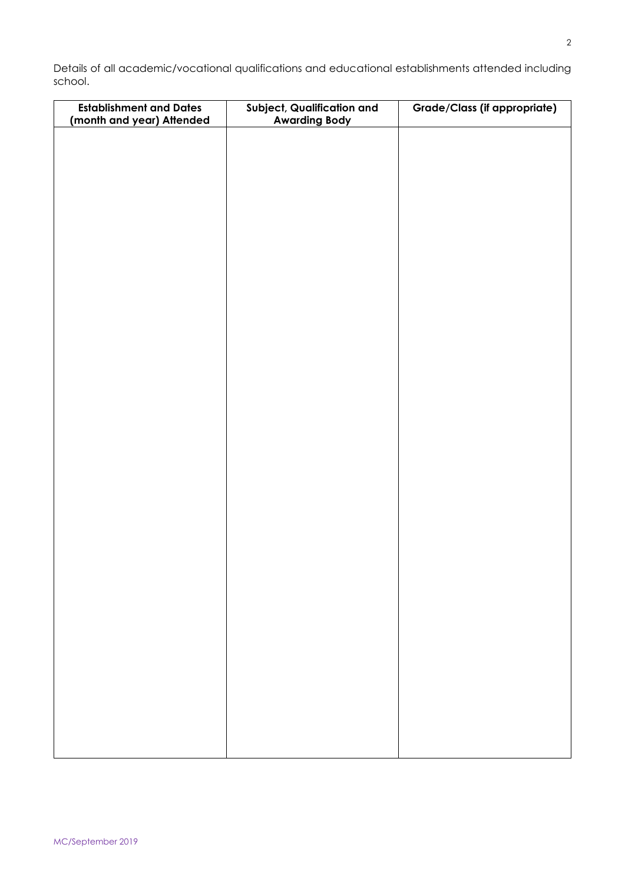Details of all academic/vocational qualifications and educational establishments attended including school.

| <b>Establishment and Dates</b><br>(month and year) Attended | Subject, Qualification and<br><b>Awarding Body</b> | <b>Grade/Class (if appropriate)</b> |
|-------------------------------------------------------------|----------------------------------------------------|-------------------------------------|
|                                                             |                                                    |                                     |
|                                                             |                                                    |                                     |
|                                                             |                                                    |                                     |
|                                                             |                                                    |                                     |
|                                                             |                                                    |                                     |
|                                                             |                                                    |                                     |
|                                                             |                                                    |                                     |
|                                                             |                                                    |                                     |
|                                                             |                                                    |                                     |
|                                                             |                                                    |                                     |
|                                                             |                                                    |                                     |
|                                                             |                                                    |                                     |
|                                                             |                                                    |                                     |
|                                                             |                                                    |                                     |
|                                                             |                                                    |                                     |
|                                                             |                                                    |                                     |
|                                                             |                                                    |                                     |
|                                                             |                                                    |                                     |
|                                                             |                                                    |                                     |
|                                                             |                                                    |                                     |
|                                                             |                                                    |                                     |
|                                                             |                                                    |                                     |
|                                                             |                                                    |                                     |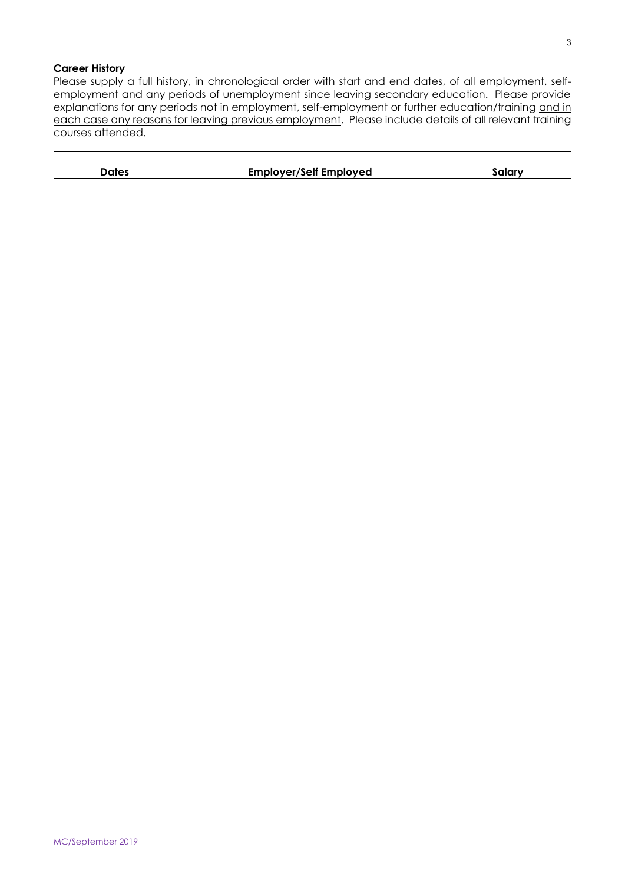## **Career History**

Please supply a full history, in chronological order with start and end dates, of all employment, selfemployment and any periods of unemployment since leaving secondary education. Please provide explanations for any periods not in employment, self-employment or further education/training and in each case any reasons for leaving previous employment. Please include details of all relevant training courses attended.

| <b>Dates</b> | <b>Employer/Self Employed</b> | <b>Salary</b> |
|--------------|-------------------------------|---------------|
|              |                               |               |
|              |                               |               |
|              |                               |               |
|              |                               |               |
|              |                               |               |
|              |                               |               |
|              |                               |               |
|              |                               |               |
|              |                               |               |
|              |                               |               |
|              |                               |               |
|              |                               |               |
|              |                               |               |
|              |                               |               |
|              |                               |               |
|              |                               |               |
|              |                               |               |
|              |                               |               |
|              |                               |               |
|              |                               |               |
|              |                               |               |
|              |                               |               |
|              |                               |               |
|              |                               |               |
|              |                               |               |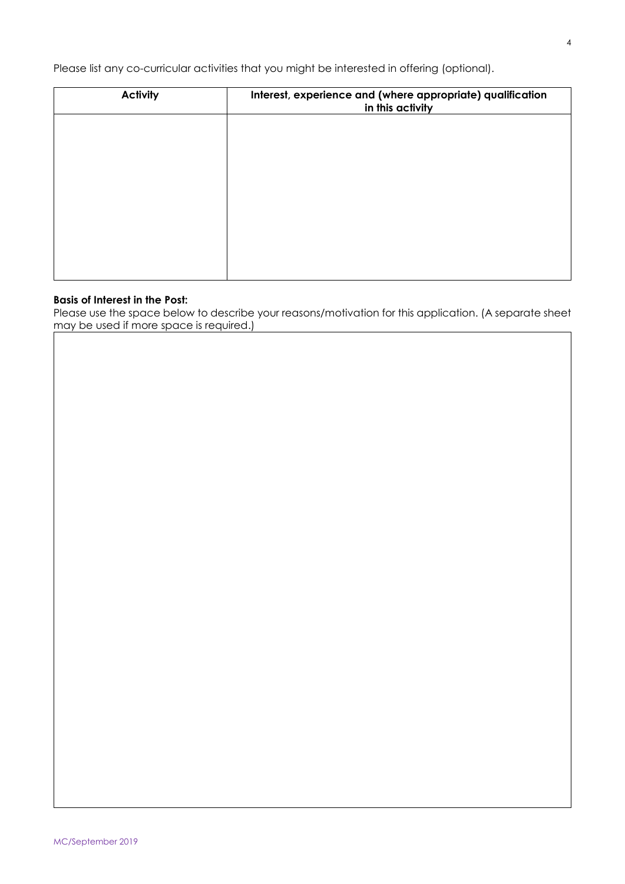Please list any co-curricular activities that you might be interested in offering (optional).

| <b>Activity</b> | Interest, experience and (where appropriate) qualification<br>in this activity |
|-----------------|--------------------------------------------------------------------------------|
|                 |                                                                                |
|                 |                                                                                |
|                 |                                                                                |
|                 |                                                                                |
|                 |                                                                                |
|                 |                                                                                |

#### **Basis of Interest in the Post:**

Please use the space below to describe your reasons/motivation for this application. (A separate sheet may be used if more space is required.)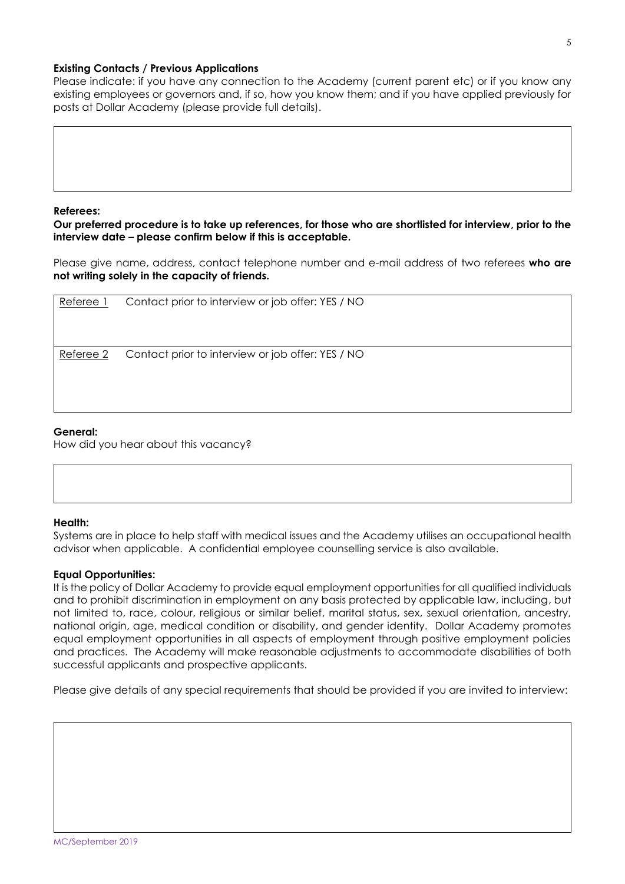#### **Existing Contacts / Previous Applications**

Please indicate: if you have any connection to the Academy (current parent etc) or if you know any existing employees or governors and, if so, how you know them; and if you have applied previously for posts at Dollar Academy (please provide full details).

#### **Referees:**

**Our preferred procedure is to take up references, for those who are shortlisted for interview, prior to the interview date – please confirm below if this is acceptable.** 

Please give name, address, contact telephone number and e-mail address of two referees **who are not writing solely in the capacity of friends.**

| Referee 1 | Contact prior to interview or job offer: YES / NO |
|-----------|---------------------------------------------------|
| Referee 2 | Contact prior to interview or job offer: YES / NO |

#### **General:**

How did you hear about this vacancy?

### **Health:**

Systems are in place to help staff with medical issues and the Academy utilises an occupational health advisor when applicable. A confidential employee counselling service is also available.

#### **Equal Opportunities:**

It is the policy of Dollar Academy to provide equal employment opportunities for all qualified individuals and to prohibit discrimination in employment on any basis protected by applicable law, including, but not limited to, race, colour, religious or similar belief, marital status, sex, sexual orientation, ancestry, national origin, age, medical condition or disability, and gender identity. Dollar Academy promotes equal employment opportunities in all aspects of employment through positive employment policies and practices. The Academy will make reasonable adjustments to accommodate disabilities of both successful applicants and prospective applicants.

Please give details of any special requirements that should be provided if you are invited to interview: